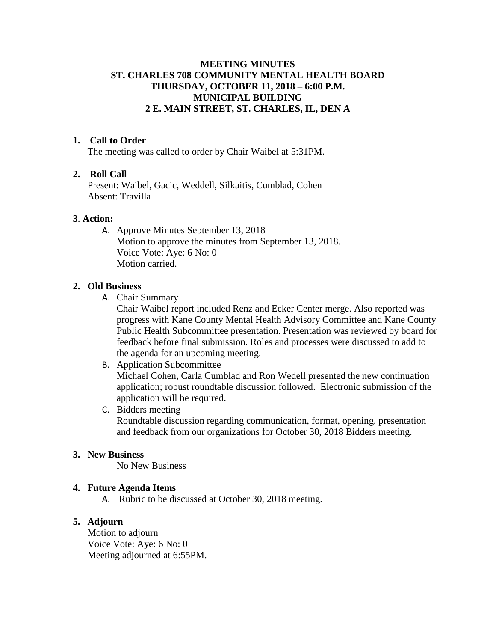# **MEETING MINUTES ST. CHARLES 708 COMMUNITY MENTAL HEALTH BOARD THURSDAY, OCTOBER 11, 2018 – 6:00 P.M. MUNICIPAL BUILDING 2 E. MAIN STREET, ST. CHARLES, IL, DEN A**

## **1. Call to Order**

The meeting was called to order by Chair Waibel at 5:31PM.

## **2. Roll Call**

Present: Waibel, Gacic, Weddell, Silkaitis, Cumblad, Cohen Absent: Travilla

## **3**. **Action:**

A. Approve Minutes September 13, 2018 Motion to approve the minutes from September 13, 2018. Voice Vote: Aye: 6 No: 0 Motion carried.

#### **2. Old Business**

A. Chair Summary

Chair Waibel report included Renz and Ecker Center merge. Also reported was progress with Kane County Mental Health Advisory Committee and Kane County Public Health Subcommittee presentation. Presentation was reviewed by board for feedback before final submission. Roles and processes were discussed to add to the agenda for an upcoming meeting.

# B. Application Subcommittee Michael Cohen, Carla Cumblad and Ron Wedell presented the new continuation application; robust roundtable discussion followed. Electronic submission of the application will be required. C. Bidders meeting

Roundtable discussion regarding communication, format, opening, presentation and feedback from our organizations for October 30, 2018 Bidders meeting.

## **3. New Business**

No New Business

### **4. Future Agenda Items**

A. Rubric to be discussed at October 30, 2018 meeting.

# **5. Adjourn**

Motion to adjourn Voice Vote: Aye: 6 No: 0 Meeting adjourned at 6:55PM.